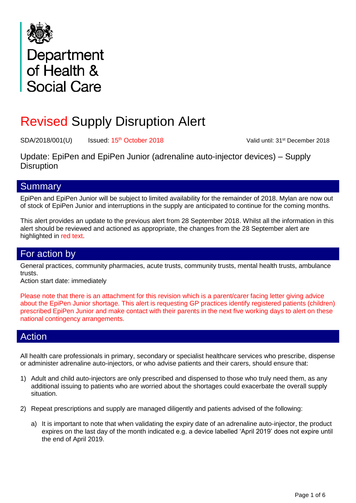

# Department<br>of Health & **Social Care**

## Revised Supply Disruption Alert

SDA/2018/001(U) Issued: 15<sup>th</sup> October 2018

Valid until: 31<sup>st</sup> December 2018

Update: EpiPen and EpiPen Junior (adrenaline auto-injector devices) – Supply **Disruption** 

## **Summary**

EpiPen and EpiPen Junior will be subject to limited availability for the remainder of 2018. Mylan are now out of stock of EpiPen Junior and interruptions in the supply are anticipated to continue for the coming months.

This alert provides an update to the previous alert from 28 September 2018. Whilst all the information in this alert should be reviewed and actioned as appropriate, the changes from the 28 September alert are highlighted in red text.

## For action by

General practices, community pharmacies, acute trusts, community trusts, mental health trusts, ambulance trusts.

Action start date: immediately

Please note that there is an attachment for this revision which is a parent/carer facing letter giving advice about the EpiPen Junior shortage. This alert is requesting GP practices identify registered patients (children) prescribed EpiPen Junior and make contact with their parents in the next five working days to alert on these national contingency arrangements.

## Action

All health care professionals in primary, secondary or specialist healthcare services who prescribe, dispense or administer adrenaline auto-injectors, or who advise patients and their carers, should ensure that:

- 1) Adult and child auto-injectors are only prescribed and dispensed to those who truly need them, as any additional issuing to patients who are worried about the shortages could exacerbate the overall supply situation.
- 2) Repeat prescriptions and supply are managed diligently and patients advised of the following:
	- a) It is important to note that when validating the expiry date of an adrenaline auto-injector, the product expires on the last day of the month indicated e.g. a device labelled 'April 2019' does not expire until the end of April 2019.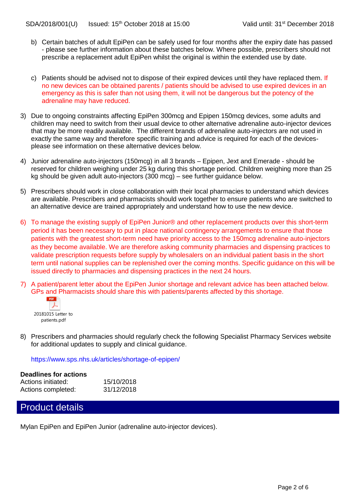- b) Certain batches of adult EpiPen can be safely used for four months after the expiry date has passed - please see further information about these batches below. Where possible, prescribers should not prescribe a replacement adult EpiPen whilst the original is within the extended use by date.
- c) Patients should be advised not to dispose of their expired devices until they have replaced them. If no new devices can be obtained parents / patients should be advised to use expired devices in an emergency as this is safer than not using them, it will not be dangerous but the potency of the adrenaline may have reduced.
- 3) Due to ongoing constraints affecting EpiPen 300mcg and Epipen 150mcg devices, some adults and children may need to switch from their usual device to other alternative adrenaline auto-injector devices that may be more readily available. The different brands of adrenaline auto-injectors are not used in exactly the same way and therefore specific training and advice is required for each of the devicesplease see information on these alternative devices below.
- 4) Junior adrenaline auto-injectors (150mcg) in all 3 brands Epipen, Jext and Emerade should be reserved for children weighing under 25 kg during this shortage period. Children weighing more than 25 kg should be given adult auto-injectors (300 mcg) – see further guidance below.
- 5) Prescribers should work in close collaboration with their local pharmacies to understand which devices are available. Prescribers and pharmacists should work together to ensure patients who are switched to an alternative device are trained appropriately and understand how to use the new device.
- 6) To manage the existing supply of EpiPen Junior® and other replacement products over this short-term period it has been necessary to put in place national contingency arrangements to ensure that those patients with the greatest short-term need have priority access to the 150mcg adrenaline auto-injectors as they become available. We are therefore asking community pharmacies and dispensing practices to validate prescription requests before supply by wholesalers on an individual patient basis in the short term until national supplies can be replenished over the coming months. Specific guidance on this will be issued directly to pharmacies and dispensing practices in the next 24 hours.
- 7) A patient/parent letter about the EpiPen Junior shortage and relevant advice has been attached below. GPs and Pharmacists should share this with patients/parents affected by this shortage.



8) Prescribers and pharmacies should regularly check the following Specialist Pharmacy Services website for additional updates to supply and clinical guidance.

<https://www.sps.nhs.uk/articles/shortage-of-epipen/>

#### **Deadlines for actions**

| Actions initiated: | 15/10/2018 |
|--------------------|------------|
| Actions completed: | 31/12/2018 |

## Product details

Mylan EpiPen and EpiPen Junior (adrenaline auto-injector devices).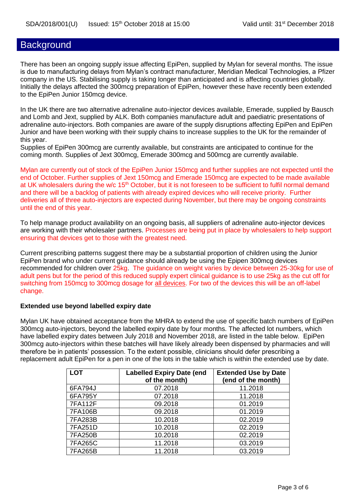## **Background**

There has been an ongoing supply issue affecting EpiPen, supplied by Mylan for several months. The issue is due to manufacturing delays from Mylan's contract manufacturer, Meridian Medical Technologies, a Pfizer company in the US. Stabilising supply is taking longer than anticipated and is affecting countries globally. Initially the delays affected the 300mcg preparation of EpiPen, however these have recently been extended to the EpiPen Junior 150mcg device.

In the UK there are two alternative adrenaline auto-injector devices available, Emerade, supplied by Bausch and Lomb and Jext, supplied by ALK. Both companies manufacture adult and paediatric presentations of adrenaline auto-injectors. Both companies are aware of the supply disruptions affecting EpiPen and EpiPen Junior and have been working with their supply chains to increase supplies to the UK for the remainder of this year.

Supplies of EpiPen 300mcg are currently available, but constraints are anticipated to continue for the coming month. Supplies of Jext 300mcg, Emerade 300mcg and 500mcg are currently available.

Mylan are currently out of stock of the EpiPen Junior 150mcg and further supplies are not expected until the end of October. Further supplies of Jext 150mcg and Emerade 150mcg are expected to be made available at UK wholesalers during the w/c 15<sup>th</sup> October, but it is not foreseen to be sufficient to fulfil normal demand and there will be a backlog of patients with already expired devices who will receive priority. Further deliveries all of three auto-injectors are expected during November, but there may be ongoing constraints until the end of this year.

To help manage product availability on an ongoing basis, all suppliers of adrenaline auto-injector devices are working with their wholesaler partners. Processes are being put in place by wholesalers to help support ensuring that devices get to those with the greatest need.

Current prescribing patterns suggest there may be a substantial proportion of children using the Junior EpiPen brand who under current guidance should already be using the Epipen 300mcg devices recommended for children over 25kg. The guidance on weight varies by device between 25-30kg for use of adult pens but for the period of this reduced supply expert clinical guidance is to use 25kg as the cut off for switching from 150mcg to 300mcg dosage for all devices. For two of the devices this will be an off-label change.

#### **Extended use beyond labelled expiry date**

Mylan UK have obtained acceptance from the MHRA to extend the use of specific batch numbers of EpiPen 300mcg auto‐injectors, beyond the labelled expiry date by four months. The affected lot numbers, which have labelled expiry dates between July 2018 and November 2018, are listed in the table below. EpiPen 300mcg auto‐injectors within these batches will have likely already been dispensed by pharmacies and will therefore be in patients' possession. To the extent possible, clinicians should defer prescribing a replacement adult EpiPen for a pen in one of the lots in the table which is within the extended use by date.

| <b>LOT</b>     | <b>Labelled Expiry Date (end</b><br>of the month) | <b>Extended Use by Date</b><br>(end of the month) |
|----------------|---------------------------------------------------|---------------------------------------------------|
| 6FA794J        | 07.2018                                           | 11.2018                                           |
| 6FA795Y        | 07.2018                                           | 11.2018                                           |
| <b>7FA112F</b> | 09.2018                                           | 01.2019                                           |
| 7FA106B        | 09.2018                                           | 01.2019                                           |
| 7FA283B        | 10.2018                                           | 02.2019                                           |
| 7FA251D        | 10.2018                                           | 02.2019                                           |
| 7FA250B        | 10.2018                                           | 02.2019                                           |
| 7FA265C        | 11.2018                                           | 03.2019                                           |
| 7FA265B        | 11.2018                                           | 03.2019                                           |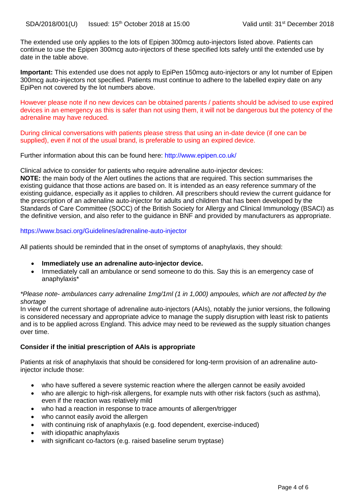The extended use only applies to the lots of Epipen 300mcg auto-injectors listed above. Patients can continue to use the Epipen 300mcg auto-injectors of these specified lots safely until the extended use by date in the table above.

Important: This extended use does not apply to EpiPen 150mcg auto-injectors or any lot number of Epipen 300mcg auto-injectors not specified. Patients must continue to adhere to the labelled expiry date on any EpiPen not covered by the lot numbers above.

However please note if no new devices can be obtained parents / patients should be advised to use expired devices in an emergency as this is safer than not using them, it will not be dangerous but the potency of the adrenaline may have reduced.

During clinical conversations with patients please stress that using an in-date device (if one can be supplied), even if not of the usual brand, is preferable to using an expired device.

Further information about this can be found here: <http://www.epipen.co.uk/>

Clinical advice to consider for patients who require adrenaline auto-injector devices:

**NOTE:** the main body of the Alert outlines the actions that are required. This section summarises the existing guidance that those actions are based on. It is intended as an easy reference summary of the existing guidance, especially as it applies to children. All prescribers should review the current guidance for the prescription of an adrenaline auto-injector for adults and children that has been developed by the Standards of Care Committee (SOCC) of the British Society for Allergy and Clinical Immunology (BSACI) as the definitive version, and also refer to the guidance in BNF and provided by manufacturers as appropriate.

#### <https://www.bsaci.org/Guidelines/adrenaline-auto-injector>

All patients should be reminded that in the onset of symptoms of anaphylaxis, they should:

- **Immediately use an adrenaline auto-injector device.**
- Immediately call an ambulance or send someone to do this. Say this is an emergency case of anaphylaxis\*

#### *\*Please note- ambulances carry adrenaline 1mg/1ml (1 in 1,000) ampoules, which are not affected by the shortage*

In view of the current shortage of adrenaline auto-injectors (AAIs), notably the junior versions, the following is considered necessary and appropriate advice to manage the supply disruption with least risk to patients and is to be applied across England. This advice may need to be reviewed as the supply situation changes over time.

#### **Consider if the initial prescription of AAIs is appropriate**

Patients at risk of anaphylaxis that should be considered for long-term provision of an adrenaline autoinjector include those:

- who have suffered a severe systemic reaction where the allergen cannot be easily avoided
- who are allergic to high-risk allergens, for example nuts with other risk factors (such as asthma), even if the reaction was relatively mild
- who had a reaction in response to trace amounts of allergen/trigger
- who cannot easily avoid the allergen
- with continuing risk of anaphylaxis (e.g. food dependent, exercise-induced)
- with idiopathic anaphylaxis
- with significant co-factors (e.g. raised baseline serum tryptase)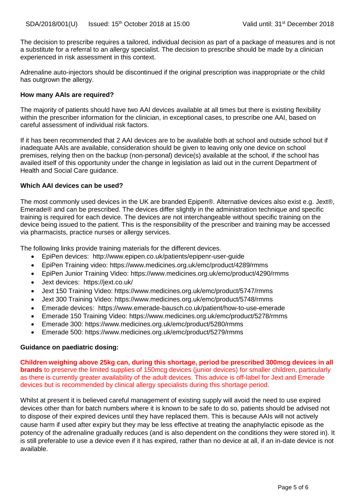The decision to prescribe requires a tailored, individual decision as part of a package of measures and is not a substitute for a referral to an allergy specialist. The decision to prescribe should be made by a clinician experienced in risk assessment in this context.

Adrenaline auto-injectors should be discontinued if the original prescription was inappropriate or the child has outgrown the allergy.

#### **How many AAIs are required?**

The majority of patients should have two AAI devices available at all times but there is existing flexibility within the prescriber information for the clinician, in exceptional cases, to prescribe one AAI, based on careful assessment of individual risk factors.

If it has been recommended that 2 AAI devices are to be available both at school and outside school but if inadequate AAIs are available, consideration should be given to leaving only one device on school premises, relying then on the backup (non-personal) device(s) available at the school, if the school has availed itself of this opportunity under the change in legislation as laid out in the current Department of Health and Social Care guidance.

#### **Which AAI devices can be used?**

The most commonly used devices in the UK are branded Epipen®. Alternative devices also exist e.g. Jext®, Emerade® and can be prescribed. The devices differ slightly in the administration technique and specific training is required for each device. The devices are not interchangeable without specific training on the device being issued to the patient. This is the responsibility of the prescriber and training may be accessed via pharmacists, practice nurses or allergy services.

The following links provide training materials for the different devices.

- EpiPen devices: <http://www.epipen.co.uk/patients/epipenr-user-guide>
- EpiPen Training video:<https://www.medicines.org.uk/emc/product/4289/rmms>
- EpiPen Junior Training Video:<https://www.medicines.org.uk/emc/product/4290/rmms>
- Jext devices: <https://jext.co.uk/>
- Jext 150 Training Video:<https://www.medicines.org.uk/emc/product/5747/rmms>
- Jext 300 Training Video:<https://www.medicines.org.uk/emc/product/5748/rmms>
- Emerade devices: <https://www.emerade-bausch.co.uk/patient/how-to-use-emerade>
- Emerade 150 Training Video:<https://www.medicines.org.uk/emc/product/5278/rmms>
- Emerade 300:<https://www.medicines.org.uk/emc/product/5280/rmms>
- Emerade 500:<https://www.medicines.org.uk/emc/product/5279/rmms>

#### **Guidance on paediatric dosing:**

**Children weighing above 25kg can, during this shortage, period be prescribed 300mcg devices in all brands** to preserve the limited supplies of 150mcg devices (junior devices) for smaller children, particularly as there is currently greater availability of the adult devices. This advice is off-label for Jext and Emerade devices but is recommended by clinical allergy specialists during this shortage period.

Whilst at present it is believed careful management of existing supply will avoid the need to use expired devices other than for batch numbers where it is known to be safe to do so, patients should be advised not to dispose of their expired devices until they have replaced them. This is because AAIs will not actively cause harm if used after expiry but they may be less effective at treating the anaphylactic episode as the potency of the adrenaline gradually reduces (and is also dependent on the conditions they were stored in). It is still preferable to use a device even if it has expired, rather than no device at all, if an in-date device is not available.